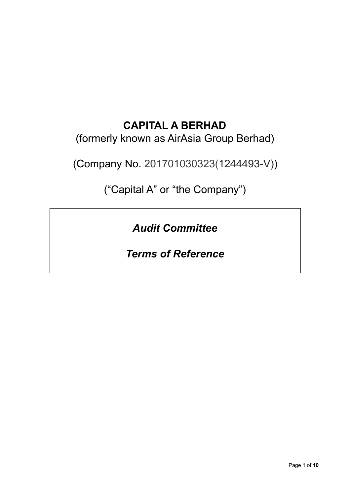## **CAPITAL A BERHAD**

## (formerly known as AirAsia Group Berhad)

(Company No. 201701030323(1244493-V))

("Capital A" or "the Company")

*Audit Committee*

## *Terms of Reference*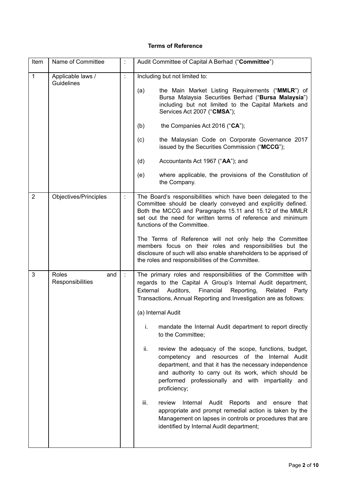## **Terms of Reference**

| Item           | Name of Committee                |                      | Audit Committee of Capital A Berhad ("Committee")                                                                                                                                                                                                                                                                                                                                                                                                                                                                                                                                                                                                                                                                                                                                                                                                                                                                                         |
|----------------|----------------------------------|----------------------|-------------------------------------------------------------------------------------------------------------------------------------------------------------------------------------------------------------------------------------------------------------------------------------------------------------------------------------------------------------------------------------------------------------------------------------------------------------------------------------------------------------------------------------------------------------------------------------------------------------------------------------------------------------------------------------------------------------------------------------------------------------------------------------------------------------------------------------------------------------------------------------------------------------------------------------------|
| 1              | Applicable laws /<br>Guidelines  | Ì.                   | Including but not limited to:<br>the Main Market Listing Requirements ("MMLR") of<br>(a)<br>Bursa Malaysia Securities Berhad ("Bursa Malaysia")<br>including but not limited to the Capital Markets and<br>Services Act 2007 ("CMSA");<br>the Companies Act 2016 ("CA");<br>(b)<br>the Malaysian Code on Corporate Governance 2017<br>(c)<br>issued by the Securities Commission ("MCCG");<br>(d)<br>Accountants Act 1967 ("AA"); and<br>where applicable, the provisions of the Constitution of<br>(e)<br>the Company.                                                                                                                                                                                                                                                                                                                                                                                                                   |
| $\overline{2}$ | Objectives/Principles            | $\ddot{\phantom{a}}$ | The Board's responsibilities which have been delegated to the<br>Committee should be clearly conveyed and explicitly defined.<br>Both the MCCG and Paragraphs 15.11 and 15.12 of the MMLR<br>set out the need for written terms of reference and minimum<br>functions of the Committee.<br>The Terms of Reference will not only help the Committee<br>members focus on their roles and responsibilities but the<br>disclosure of such will also enable shareholders to be apprised of<br>the roles and responsibilities of the Committee.                                                                                                                                                                                                                                                                                                                                                                                                 |
| 3              | Roles<br>and<br>Responsibilities | $\mathbb{R}^2$       | The primary roles and responsibilities of the Committee with<br>regards to the Capital A Group's Internal Audit department,<br>External<br>Auditors,<br>Financial<br>Reporting,<br>Related<br>Party<br>Transactions, Annual Reporting and Investigation are as follows:<br>(a) Internal Audit<br>mandate the Internal Audit department to report directly<br>i.<br>to the Committee;<br>review the adequacy of the scope, functions, budget,<br>ii.<br>competency and resources of the Internal Audit<br>department, and that it has the necessary independence<br>and authority to carry out its work, which should be<br>performed professionally and with impartiality and<br>proficiency;<br>iii.<br>review<br>Internal<br>Audit<br>Reports<br>that<br>and<br>ensure<br>appropriate and prompt remedial action is taken by the<br>Management on lapses in controls or procedures that are<br>identified by Internal Audit department; |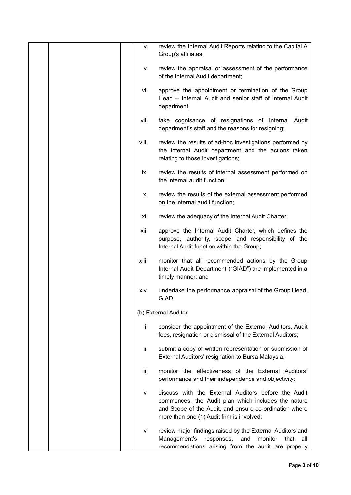| iv.   | review the Internal Audit Reports relating to the Capital A<br>Group's affiliates;                                                                                                                                |
|-------|-------------------------------------------------------------------------------------------------------------------------------------------------------------------------------------------------------------------|
| V.    | review the appraisal or assessment of the performance<br>of the Internal Audit department;                                                                                                                        |
| vi.   | approve the appointment or termination of the Group<br>Head - Internal Audit and senior staff of Internal Audit<br>department;                                                                                    |
| vii.  | take cognisance of resignations of Internal Audit<br>department's staff and the reasons for resigning;                                                                                                            |
| viii. | review the results of ad-hoc investigations performed by<br>the Internal Audit department and the actions taken<br>relating to those investigations;                                                              |
| ix.   | review the results of internal assessment performed on<br>the internal audit function;                                                                                                                            |
| х.    | review the results of the external assessment performed<br>on the internal audit function;                                                                                                                        |
| xi.   | review the adequacy of the Internal Audit Charter;                                                                                                                                                                |
| xii.  | approve the Internal Audit Charter, which defines the<br>purpose, authority, scope and responsibility of the<br>Internal Audit function within the Group;                                                         |
| xiii. | monitor that all recommended actions by the Group<br>Internal Audit Department ("GIAD") are implemented in a<br>timely manner; and                                                                                |
| xiv.  | undertake the performance appraisal of the Group Head,<br>GIAD.                                                                                                                                                   |
|       | (b) External Auditor                                                                                                                                                                                              |
| i.    | consider the appointment of the External Auditors, Audit<br>fees, resignation or dismissal of the External Auditors;                                                                                              |
| ii.   | submit a copy of written representation or submission of<br>External Auditors' resignation to Bursa Malaysia;                                                                                                     |
| iii.  | monitor the effectiveness of the External Auditors'<br>performance and their independence and objectivity;                                                                                                        |
| iv.   | discuss with the External Auditors before the Audit<br>commences, the Audit plan which includes the nature<br>and Scope of the Audit, and ensure co-ordination where<br>more than one (1) Audit firm is involved; |
| v.    | review major findings raised by the External Auditors and<br>Management's<br>and<br>monitor<br>that<br>responses,<br>all<br>recommendations arising from the audit are properly                                   |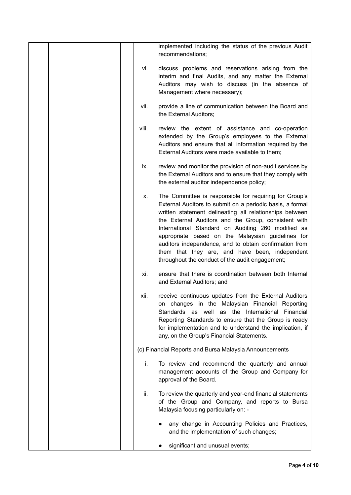|       | implemented including the status of the previous Audit<br>recommendations;                                                                                                                                                                                                                                                                                                                                                                                                                                       |
|-------|------------------------------------------------------------------------------------------------------------------------------------------------------------------------------------------------------------------------------------------------------------------------------------------------------------------------------------------------------------------------------------------------------------------------------------------------------------------------------------------------------------------|
| vi.   | discuss problems and reservations arising from the<br>interim and final Audits, and any matter the External<br>Auditors may wish to discuss (in the absence of<br>Management where necessary);                                                                                                                                                                                                                                                                                                                   |
| vii.  | provide a line of communication between the Board and<br>the External Auditors;                                                                                                                                                                                                                                                                                                                                                                                                                                  |
| viii. | review the extent of assistance and co-operation<br>extended by the Group's employees to the External<br>Auditors and ensure that all information required by the<br>External Auditors were made available to them;                                                                                                                                                                                                                                                                                              |
| ix.   | review and monitor the provision of non-audit services by<br>the External Auditors and to ensure that they comply with<br>the external auditor independence policy;                                                                                                                                                                                                                                                                                                                                              |
| Х.    | The Committee is responsible for requiring for Group's<br>External Auditors to submit on a periodic basis, a formal<br>written statement delineating all relationships between<br>the External Auditors and the Group, consistent with<br>International Standard on Auditing 260 modified as<br>appropriate based on the Malaysian guidelines for<br>auditors independence, and to obtain confirmation from<br>them that they are, and have been, independent<br>throughout the conduct of the audit engagement; |
| xi.   | ensure that there is coordination between both Internal<br>and External Auditors; and                                                                                                                                                                                                                                                                                                                                                                                                                            |
| xii.  | receive continuous updates from the External Auditors<br>on changes in the Malaysian Financial Reporting<br>Standards as well as the International Financial<br>Reporting Standards to ensure that the Group is ready<br>for implementation and to understand the implication, if<br>any, on the Group's Financial Statements.                                                                                                                                                                                   |
|       | (c) Financial Reports and Bursa Malaysia Announcements                                                                                                                                                                                                                                                                                                                                                                                                                                                           |
| i.    | To review and recommend the quarterly and annual<br>management accounts of the Group and Company for<br>approval of the Board.                                                                                                                                                                                                                                                                                                                                                                                   |
| ii.   | To review the quarterly and year-end financial statements<br>of the Group and Company, and reports to Bursa<br>Malaysia focusing particularly on: -                                                                                                                                                                                                                                                                                                                                                              |
|       | any change in Accounting Policies and Practices,<br>and the implementation of such changes;                                                                                                                                                                                                                                                                                                                                                                                                                      |
|       | significant and unusual events;                                                                                                                                                                                                                                                                                                                                                                                                                                                                                  |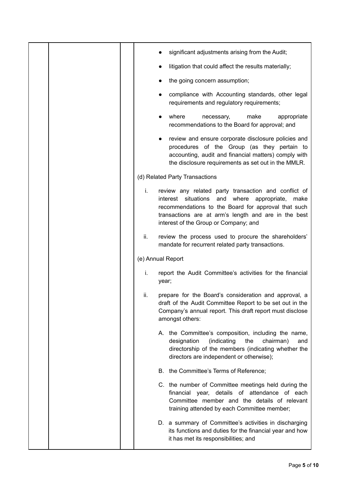|  |     | significant adjustments arising from the Audit;                                                                                                                                                                                                                       |
|--|-----|-----------------------------------------------------------------------------------------------------------------------------------------------------------------------------------------------------------------------------------------------------------------------|
|  |     | litigation that could affect the results materially;                                                                                                                                                                                                                  |
|  |     | the going concern assumption;                                                                                                                                                                                                                                         |
|  |     | compliance with Accounting standards, other legal<br>requirements and regulatory requirements;                                                                                                                                                                        |
|  |     | where<br>necessary,<br>make<br>appropriate<br>recommendations to the Board for approval; and                                                                                                                                                                          |
|  |     | review and ensure corporate disclosure policies and<br>procedures of the Group (as they pertain to<br>accounting, audit and financial matters) comply with<br>the disclosure requirements as set out in the MMLR.                                                     |
|  |     | (d) Related Party Transactions                                                                                                                                                                                                                                        |
|  | i.  | review any related party transaction and conflict of<br>interest situations<br>and where appropriate,<br>make<br>recommendations to the Board for approval that such<br>transactions are at arm's length and are in the best<br>interest of the Group or Company; and |
|  | ii. | review the process used to procure the shareholders'<br>mandate for recurrent related party transactions.                                                                                                                                                             |
|  |     | (e) Annual Report                                                                                                                                                                                                                                                     |
|  | i.  | report the Audit Committee's activities for the financial<br>year;                                                                                                                                                                                                    |
|  | ii. | prepare for the Board's consideration and approval, a<br>draft of the Audit Committee Report to be set out in the<br>Company's annual report. This draft report must disclose<br>amongst others:                                                                      |
|  |     | A. the Committee's composition, including the name,<br>the<br>designation<br>(indicating<br>chairman)<br>and<br>directorship of the members (indicating whether the<br>directors are independent or otherwise);                                                       |
|  |     | B. the Committee's Terms of Reference;                                                                                                                                                                                                                                |
|  |     | C. the number of Committee meetings held during the<br>financial year, details of attendance of each<br>Committee member and the details of relevant<br>training attended by each Committee member;                                                                   |
|  |     | D. a summary of Committee's activities in discharging<br>its functions and duties for the financial year and how<br>it has met its responsibilities; and                                                                                                              |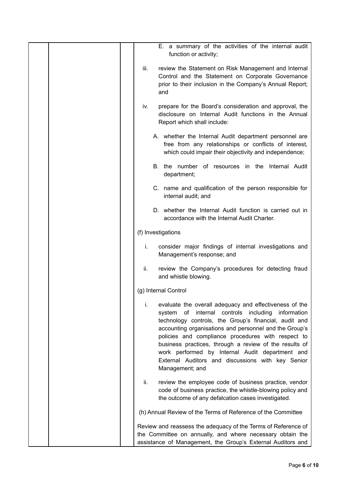| E. a summary of the activities of the internal audit<br>function or activity;                                                                                                                                                                                                                                                                                                                                                                                                               |
|---------------------------------------------------------------------------------------------------------------------------------------------------------------------------------------------------------------------------------------------------------------------------------------------------------------------------------------------------------------------------------------------------------------------------------------------------------------------------------------------|
| iii.<br>review the Statement on Risk Management and Internal<br>Control and the Statement on Corporate Governance<br>prior to their inclusion in the Company's Annual Report;<br>and                                                                                                                                                                                                                                                                                                        |
| prepare for the Board's consideration and approval, the<br>iv.<br>disclosure on Internal Audit functions in the Annual<br>Report which shall include:                                                                                                                                                                                                                                                                                                                                       |
| A. whether the Internal Audit department personnel are<br>free from any relationships or conflicts of interest,<br>which could impair their objectivity and independence;                                                                                                                                                                                                                                                                                                                   |
| B. the number of resources in the Internal Audit<br>department;                                                                                                                                                                                                                                                                                                                                                                                                                             |
| C. name and qualification of the person responsible for<br>internal audit; and                                                                                                                                                                                                                                                                                                                                                                                                              |
| D. whether the Internal Audit function is carried out in<br>accordance with the Internal Audit Charter.                                                                                                                                                                                                                                                                                                                                                                                     |
| (f) Investigations                                                                                                                                                                                                                                                                                                                                                                                                                                                                          |
| i.<br>consider major findings of internal investigations and<br>Management's response; and                                                                                                                                                                                                                                                                                                                                                                                                  |
| ii.<br>review the Company's procedures for detecting fraud<br>and whistle blowing.                                                                                                                                                                                                                                                                                                                                                                                                          |
| (g) Internal Control                                                                                                                                                                                                                                                                                                                                                                                                                                                                        |
| evaluate the overall adequacy and effectiveness of the<br>ı.<br>controls including<br>internal<br>information<br>system<br>οf<br>technology controls, the Group's financial, audit and<br>accounting organisations and personnel and the Group's<br>policies and compliance procedures with respect to<br>business practices, through a review of the results of<br>work performed by Internal Audit department and<br>External Auditors and discussions with key Senior<br>Management; and |
| review the employee code of business practice, vendor<br>ii.<br>code of business practice, the whistle-blowing policy and<br>the outcome of any defalcation cases investigated.                                                                                                                                                                                                                                                                                                             |
| (h) Annual Review of the Terms of Reference of the Committee                                                                                                                                                                                                                                                                                                                                                                                                                                |
| Review and reassess the adequacy of the Terms of Reference of<br>the Committee on annually, and where necessary obtain the<br>assistance of Management, the Group's External Auditors and                                                                                                                                                                                                                                                                                                   |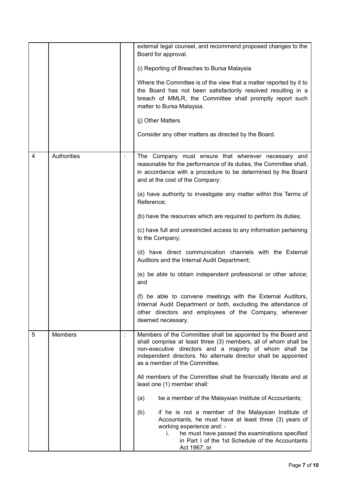|   |                |   | external legal counsel, and recommend proposed changes to the<br>Board for approval.<br>(i) Reporting of Breaches to Bursa Malaysia<br>Where the Committee is of the view that a matter reported by it to<br>the Board has not been satisfactorily resolved resulting in a<br>breach of MMLR, the Committee shall promptly report such<br>matter to Bursa Malaysia.<br>(j) Other Matters<br>Consider any other matters as directed by the Board.                                                                                                                                                                                                                                                                                                                                                                                                                                   |
|---|----------------|---|------------------------------------------------------------------------------------------------------------------------------------------------------------------------------------------------------------------------------------------------------------------------------------------------------------------------------------------------------------------------------------------------------------------------------------------------------------------------------------------------------------------------------------------------------------------------------------------------------------------------------------------------------------------------------------------------------------------------------------------------------------------------------------------------------------------------------------------------------------------------------------|
| 4 | Authorities    |   | The Company must ensure that wherever necessary and<br>reasonable for the performance of its duties, the Committee shall,<br>in accordance with a procedure to be determined by the Board<br>and at the cost of the Company:<br>(a) have authority to investigate any matter within this Terms of<br>Reference;<br>(b) have the resources which are required to perform its duties;<br>(c) have full and unrestricted access to any information pertaining<br>to the Company;<br>(d) have direct communication channels with the External<br>Auditors and the Internal Audit Department;<br>(e) be able to obtain independent professional or other advice;<br>and<br>(f) be able to convene meetings with the External Auditors,<br>Internal Audit Department or both, excluding the attendance of<br>other directors and employees of the Company, whenever<br>deemed necessary. |
| 5 | <b>Members</b> | ÷ | Members of the Committee shall be appointed by the Board and<br>shall comprise at least three (3) members, all of whom shall be<br>non-executive directors and a majority of whom shall be<br>independent directors. No alternate director shall be appointed<br>as a member of the Committee.<br>All members of the Committee shall be financially literate and at<br>least one (1) member shall:<br>be a member of the Malaysian Institute of Accountants;<br>(a)<br>if he is not a member of the Malaysian Institute of<br>(b)<br>Accountants, he must have at least three (3) years of<br>working experience and: -<br>he must have passed the examinations specified<br>Ĺ.<br>in Part I of the 1st Schedule of the Accountants<br>Act 1967; or                                                                                                                                |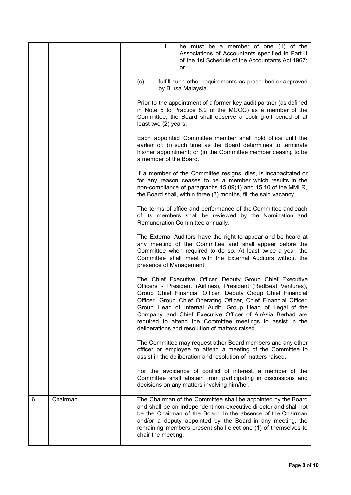|   |          | ii.<br>he must be a member of one (1) of the<br>Associations of Accountants specified in Part II<br>of the 1st Schedule of the Accountants Act 1967;<br>or                                                                                                                                                                                                                                                                                                                                               |
|---|----------|----------------------------------------------------------------------------------------------------------------------------------------------------------------------------------------------------------------------------------------------------------------------------------------------------------------------------------------------------------------------------------------------------------------------------------------------------------------------------------------------------------|
|   |          | fulfill such other requirements as prescribed or approved<br>(c)<br>by Bursa Malaysia.                                                                                                                                                                                                                                                                                                                                                                                                                   |
|   |          | Prior to the appointment of a former key audit partner (as defined<br>in Note 5 to Practice 8.2 of the MCCG) as a member of the<br>Committee, the Board shall observe a cooling-off period of at<br>least two (2) years.                                                                                                                                                                                                                                                                                 |
|   |          | Each appointed Committee member shall hold office until the<br>earlier of: (i) such time as the Board determines to terminate<br>his/her appointment; or (ii) the Committee member ceasing to be<br>a member of the Board.                                                                                                                                                                                                                                                                               |
|   |          | If a member of the Committee resigns, dies, is incapacitated or<br>for any reason ceases to be a member which results in the<br>non-compliance of paragraphs 15.09(1) and 15.10 of the MMLR,<br>the Board shall, within three (3) months, fill the said vacancy.                                                                                                                                                                                                                                         |
|   |          | The terms of office and performance of the Committee and each<br>of its members shall be reviewed by the Nomination and<br>Remuneration Committee annually.                                                                                                                                                                                                                                                                                                                                              |
|   |          | The External Auditors have the right to appear and be heard at<br>any meeting of the Committee and shall appear before the<br>Committee when required to do so. At least twice a year, the<br>Committee shall meet with the External Auditors without the<br>presence of Management.                                                                                                                                                                                                                     |
|   |          | The Chief Executive Officer, Deputy Group Chief Executive<br>Officers - President (Airlines), President (RedBeat Ventures),<br>Group Chief Financial Officer, Deputy Group Chief Financial<br>Officer, Group Chief Operating Officer, Chief Financial Officer,<br>Group Head of Internal Audit, Group Head of Legal of the<br>Company and Chief Executive Officer of AirAsia Berhad are<br>required to attend the Committee meetings to assist in the<br>deliberations and resolution of matters raised. |
|   |          | The Committee may request other Board members and any other<br>officer or employee to attend a meeting of the Committee to<br>assist in the deliberation and resolution of matters raised.                                                                                                                                                                                                                                                                                                               |
|   |          | For the avoidance of conflict of interest, a member of the<br>Committee shall abstain from participating in discussions and<br>decisions on any matters involving him/her.                                                                                                                                                                                                                                                                                                                               |
| 6 | Chairman | The Chairman of the Committee shall be appointed by the Board<br>and shall be an independent non-executive director and shall not<br>be the Chairman of the Board. In the absence of the Chairman<br>and/or a deputy appointed by the Board in any meeting, the<br>remaining members present shall elect one (1) of themselves to<br>chair the meeting.                                                                                                                                                  |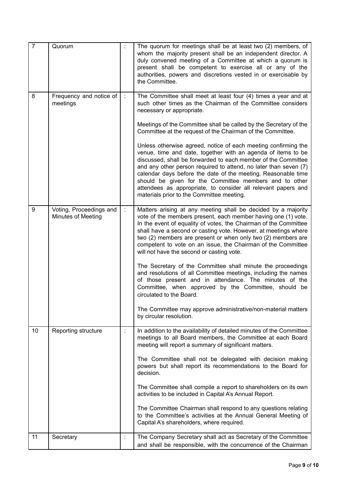| $\overline{7}$ | Quorum                                        | The quorum for meetings shall be at least two (2) members, of<br>whom the majority present shall be an independent director. A<br>duly convened meeting of a Committee at which a quorum is<br>present shall be competent to exercise all or any of the<br>authorities, powers and discretions vested in or exercisable by<br>the Committee.                                                                                                                                                                 |
|----------------|-----------------------------------------------|--------------------------------------------------------------------------------------------------------------------------------------------------------------------------------------------------------------------------------------------------------------------------------------------------------------------------------------------------------------------------------------------------------------------------------------------------------------------------------------------------------------|
| 8              | Frequency and notice of<br>meetings           | The Committee shall meet at least four (4) times a year and at<br>such other times as the Chairman of the Committee considers<br>necessary or appropriate.<br>Meetings of the Committee shall be called by the Secretary of the<br>Committee at the request of the Chairman of the Committee.                                                                                                                                                                                                                |
|                |                                               | Unless otherwise agreed, notice of each meeting confirming the<br>venue, time and date, together with an agenda of items to be<br>discussed, shall be forwarded to each member of the Committee<br>and any other person required to attend, no later than seven (7)<br>calendar days before the date of the meeting. Reasonable time<br>should be given for the Committee members and to other<br>attendees as appropriate, to consider all relevant papers and<br>materials prior to the Committee meeting. |
| 9              | Voting, Proceedings and<br>Minutes of Meeting | Matters arising at any meeting shall be decided by a majority<br>vote of the members present, each member having one (1) vote.<br>In the event of equality of votes, the Chairman of the Committee<br>shall have a second or casting vote. However, at meetings where<br>two (2) members are present or when only two (2) members are<br>competent to vote on an issue, the Chairman of the Committee<br>will not have the second or casting vote.                                                           |
|                |                                               | The Secretary of the Committee shall minute the proceedings<br>and resolutions of all Committee meetings, including the names<br>of those present and in attendance. The minutes of the<br>Committee, when approved by the Committee, should be<br>circulated to the Board.                                                                                                                                                                                                                                  |
|                |                                               | The Committee may approve administrative/non-material matters<br>by circular resolution.                                                                                                                                                                                                                                                                                                                                                                                                                     |
| 10             | Reporting structure                           | In addition to the availability of detailed minutes of the Committee<br>meetings to all Board members, the Committee at each Board<br>meeting will report a summary of significant matters.                                                                                                                                                                                                                                                                                                                  |
|                |                                               | The Committee shall not be delegated with decision making<br>powers but shall report its recommendations to the Board for<br>decision.                                                                                                                                                                                                                                                                                                                                                                       |
|                |                                               | The Committee shall compile a report to shareholders on its own<br>activities to be included in Capital A's Annual Report.                                                                                                                                                                                                                                                                                                                                                                                   |
|                |                                               | The Committee Chairman shall respond to any questions relating<br>to the Committee's activities at the Annual General Meeting of<br>Capital A's shareholders, where required.                                                                                                                                                                                                                                                                                                                                |
| 11             | Secretary                                     | The Company Secretary shall act as Secretary of the Committee<br>and shall be responsible, with the concurrence of the Chairman                                                                                                                                                                                                                                                                                                                                                                              |